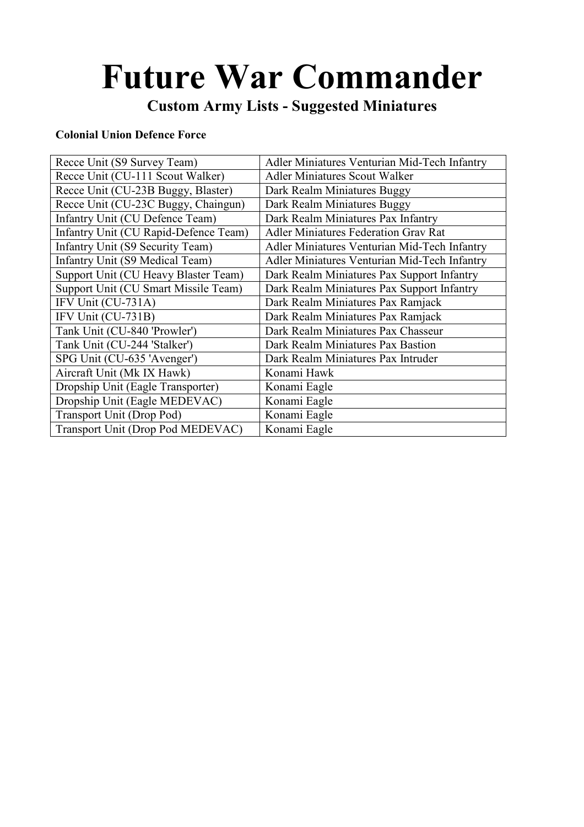# Future War Commander

## Custom Army Lists - Suggested Miniatures

#### Colonial Union Defence Force

| Recce Unit (S9 Survey Team)           | Adler Miniatures Venturian Mid-Tech Infantry |
|---------------------------------------|----------------------------------------------|
| Recce Unit (CU-111 Scout Walker)      | <b>Adler Miniatures Scout Walker</b>         |
| Recce Unit (CU-23B Buggy, Blaster)    | Dark Realm Miniatures Buggy                  |
| Recce Unit (CU-23C Buggy, Chaingun)   | Dark Realm Miniatures Buggy                  |
| Infantry Unit (CU Defence Team)       | Dark Realm Miniatures Pax Infantry           |
| Infantry Unit (CU Rapid-Defence Team) | <b>Adler Miniatures Federation Grav Rat</b>  |
| Infantry Unit (S9 Security Team)      | Adler Miniatures Venturian Mid-Tech Infantry |
| Infantry Unit (S9 Medical Team)       | Adler Miniatures Venturian Mid-Tech Infantry |
| Support Unit (CU Heavy Blaster Team)  | Dark Realm Miniatures Pax Support Infantry   |
| Support Unit (CU Smart Missile Team)  | Dark Realm Miniatures Pax Support Infantry   |
| IFV Unit (CU-731A)                    | Dark Realm Miniatures Pax Ramjack            |
| IFV Unit (CU-731B)                    | Dark Realm Miniatures Pax Ramjack            |
| Tank Unit (CU-840 'Prowler')          | Dark Realm Miniatures Pax Chasseur           |
| Tank Unit (CU-244 'Stalker')          | Dark Realm Miniatures Pax Bastion            |
| SPG Unit (CU-635 'Avenger')           | Dark Realm Miniatures Pax Intruder           |
| Aircraft Unit (Mk IX Hawk)            | Konami Hawk                                  |
| Dropship Unit (Eagle Transporter)     | Konami Eagle                                 |
| Dropship Unit (Eagle MEDEVAC)         | Konami Eagle                                 |
| Transport Unit (Drop Pod)             | Konami Eagle                                 |
| Transport Unit (Drop Pod MEDEVAC)     | Konami Eagle                                 |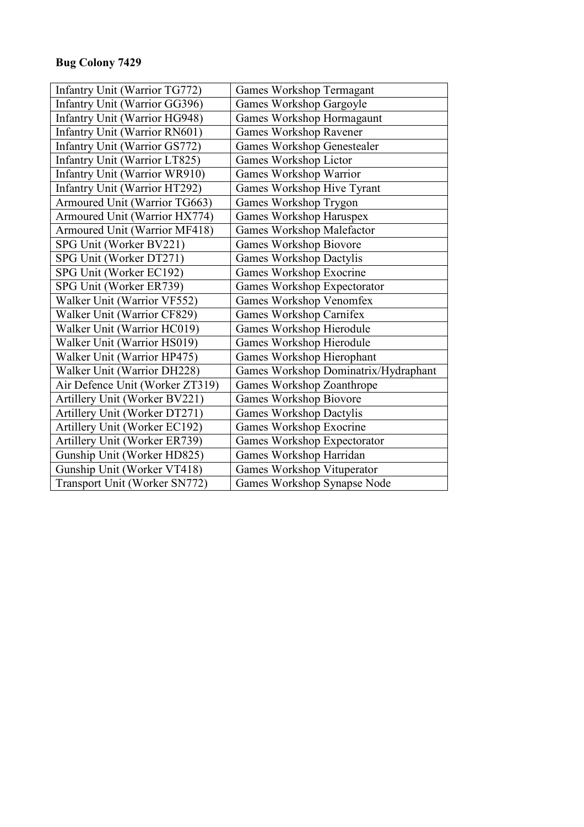## Bug Colony 7429

| Infantry Unit (Warrior TG772)   | Games Workshop Termagant             |
|---------------------------------|--------------------------------------|
| Infantry Unit (Warrior GG396)   | Games Workshop Gargoyle              |
| Infantry Unit (Warrior HG948)   | Games Workshop Hormagaunt            |
| Infantry Unit (Warrior RN601)   | <b>Games Workshop Ravener</b>        |
| Infantry Unit (Warrior GS772)   | Games Workshop Genestealer           |
| Infantry Unit (Warrior LT825)   | Games Workshop Lictor                |
| Infantry Unit (Warrior WR910)   | Games Workshop Warrior               |
| Infantry Unit (Warrior HT292)   | Games Workshop Hive Tyrant           |
| Armoured Unit (Warrior TG663)   | Games Workshop Trygon                |
| Armoured Unit (Warrior HX774)   | Games Workshop Haruspex              |
| Armoured Unit (Warrior MF418)   | <b>Games Workshop Malefactor</b>     |
| SPG Unit (Worker BV221)         | Games Workshop Biovore               |
| SPG Unit (Worker DT271)         | <b>Games Workshop Dactylis</b>       |
| SPG Unit (Worker EC192)         | Games Workshop Exocrine              |
| SPG Unit (Worker ER739)         | Games Workshop Expectorator          |
| Walker Unit (Warrior VF552)     | <b>Games Workshop Venomfex</b>       |
| Walker Unit (Warrior CF829)     | Games Workshop Carnifex              |
| Walker Unit (Warrior HC019)     | Games Workshop Hierodule             |
| Walker Unit (Warrior HS019)     | Games Workshop Hierodule             |
| Walker Unit (Warrior HP475)     | Games Workshop Hierophant            |
| Walker Unit (Warrior DH228)     | Games Workshop Dominatrix/Hydraphant |
| Air Defence Unit (Worker ZT319) | Games Workshop Zoanthrope            |
| Artillery Unit (Worker BV221)   | Games Workshop Biovore               |
| Artillery Unit (Worker DT271)   | <b>Games Workshop Dactylis</b>       |
| Artillery Unit (Worker EC192)   | Games Workshop Exocrine              |
| Artillery Unit (Worker ER739)   | Games Workshop Expectorator          |
| Gunship Unit (Worker HD825)     | Games Workshop Harridan              |
| Gunship Unit (Worker VT418)     | Games Workshop Vituperator           |
| Transport Unit (Worker SN772)   | Games Workshop Synapse Node          |
|                                 |                                      |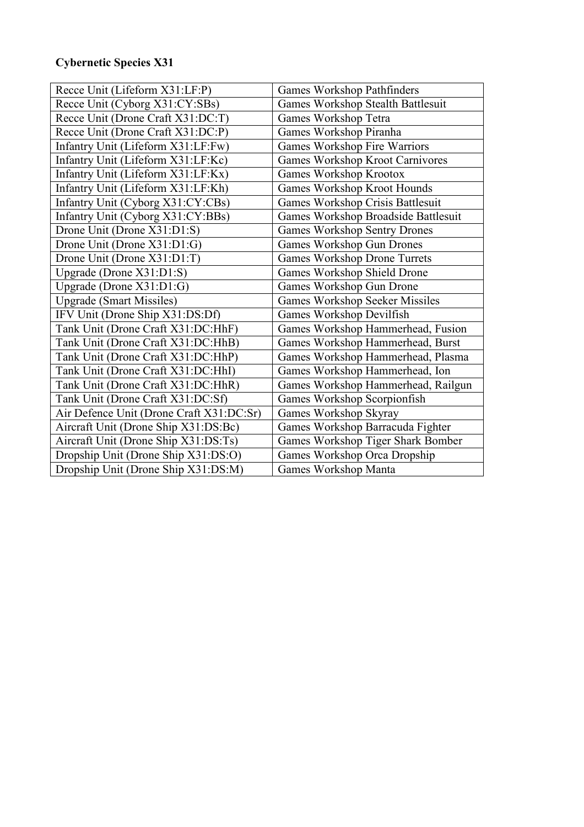## Cybernetic Species X31

| Recce Unit (Lifeform X31:LF:P)           | Games Workshop Pathfinders            |
|------------------------------------------|---------------------------------------|
| Recce Unit (Cyborg X31:CY:SBs)           | Games Workshop Stealth Battlesuit     |
| Recce Unit (Drone Craft X31:DC:T)        | Games Workshop Tetra                  |
| Recce Unit (Drone Craft X31:DC:P)        | Games Workshop Piranha                |
| Infantry Unit (Lifeform X31:LF:Fw)       | Games Workshop Fire Warriors          |
| Infantry Unit (Lifeform X31:LF:Kc)       | Games Workshop Kroot Carnivores       |
| Infantry Unit (Lifeform X31:LF:Kx)       | Games Workshop Krootox                |
| Infantry Unit (Lifeform X31:LF:Kh)       | Games Workshop Kroot Hounds           |
| Infantry Unit (Cyborg X31:CY:CBs)        | Games Workshop Crisis Battlesuit      |
| Infantry Unit (Cyborg X31:CY:BBs)        | Games Workshop Broadside Battlesuit   |
| Drone Unit (Drone X31:D1:S)              | <b>Games Workshop Sentry Drones</b>   |
| Drone Unit (Drone X31:D1:G)              | Games Workshop Gun Drones             |
| Drone Unit (Drone X31:D1:T)              | <b>Games Workshop Drone Turrets</b>   |
| Upgrade (Drone X31:D1:S)                 | Games Workshop Shield Drone           |
| Upgrade (Drone X31:D1:G)                 | Games Workshop Gun Drone              |
| <b>Upgrade</b> (Smart Missiles)          | <b>Games Workshop Seeker Missiles</b> |
| IFV Unit (Drone Ship X31:DS:Df)          | Games Workshop Devilfish              |
| Tank Unit (Drone Craft X31:DC:HhF)       | Games Workshop Hammerhead, Fusion     |
| Tank Unit (Drone Craft X31:DC:HhB)       | Games Workshop Hammerhead, Burst      |
| Tank Unit (Drone Craft X31:DC:HhP)       | Games Workshop Hammerhead, Plasma     |
| Tank Unit (Drone Craft X31:DC:HhI)       | Games Workshop Hammerhead, Ion        |
| Tank Unit (Drone Craft X31:DC:HhR)       | Games Workshop Hammerhead, Railgun    |
| Tank Unit (Drone Craft X31:DC:Sf)        | Games Workshop Scorpionfish           |
| Air Defence Unit (Drone Craft X31:DC:Sr) | Games Workshop Skyray                 |
| Aircraft Unit (Drone Ship X31:DS:Bc)     | Games Workshop Barracuda Fighter      |
| Aircraft Unit (Drone Ship X31:DS:Ts)     | Games Workshop Tiger Shark Bomber     |
| Dropship Unit (Drone Ship X31:DS:O)      | Games Workshop Orca Dropship          |
| Dropship Unit (Drone Ship X31:DS:M)      | Games Workshop Manta                  |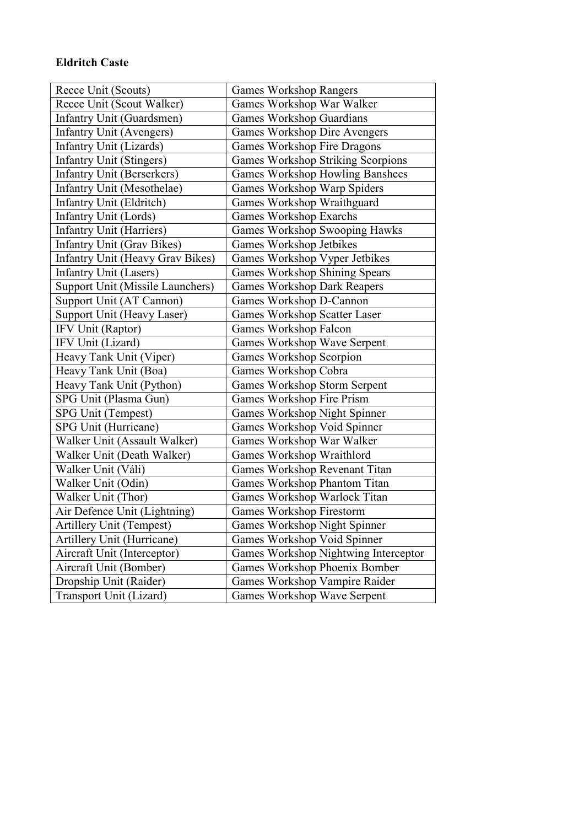#### Eldritch Caste

| Recce Unit (Scouts)               | <b>Games Workshop Rangers</b>          |
|-----------------------------------|----------------------------------------|
| Recce Unit (Scout Walker)         | Games Workshop War Walker              |
| Infantry Unit (Guardsmen)         | <b>Games Workshop Guardians</b>        |
| Infantry Unit (Avengers)          | <b>Games Workshop Dire Avengers</b>    |
| Infantry Unit (Lizards)           | <b>Games Workshop Fire Dragons</b>     |
| <b>Infantry Unit (Stingers)</b>   | Games Workshop Striking Scorpions      |
| <b>Infantry Unit (Berserkers)</b> | <b>Games Workshop Howling Banshees</b> |
| Infantry Unit (Mesothelae)        | Games Workshop Warp Spiders            |
| Infantry Unit (Eldritch)          | Games Workshop Wraithguard             |
| Infantry Unit (Lords)             | <b>Games Workshop Exarchs</b>          |
| Infantry Unit (Harriers)          | Games Workshop Swooping Hawks          |
| <b>Infantry Unit (Grav Bikes)</b> | Games Workshop Jetbikes                |
| Infantry Unit (Heavy Grav Bikes)  | Games Workshop Vyper Jetbikes          |
| <b>Infantry Unit (Lasers)</b>     | Games Workshop Shining Spears          |
| Support Unit (Missile Launchers)  | <b>Games Workshop Dark Reapers</b>     |
| Support Unit (AT Cannon)          | Games Workshop D-Cannon                |
| Support Unit (Heavy Laser)        | <b>Games Workshop Scatter Laser</b>    |
| IFV Unit (Raptor)                 | Games Workshop Falcon                  |
| IFV Unit (Lizard)                 | <b>Games Workshop Wave Serpent</b>     |
| Heavy Tank Unit (Viper)           | Games Workshop Scorpion                |
| Heavy Tank Unit (Boa)             | Games Workshop Cobra                   |
| Heavy Tank Unit (Python)          | <b>Games Workshop Storm Serpent</b>    |
| SPG Unit (Plasma Gun)             | Games Workshop Fire Prism              |
| SPG Unit (Tempest)                | <b>Games Workshop Night Spinner</b>    |
| SPG Unit (Hurricane)              | Games Workshop Void Spinner            |
| Walker Unit (Assault Walker)      | Games Workshop War Walker              |
| Walker Unit (Death Walker)        | Games Workshop Wraithlord              |
| Walker Unit (Váli)                | Games Workshop Revenant Titan          |
| Walker Unit (Odin)                | Games Workshop Phantom Titan           |
| Walker Unit (Thor)                | Games Workshop Warlock Titan           |
| Air Defence Unit (Lightning)      | <b>Games Workshop Firestorm</b>        |
| <b>Artillery Unit (Tempest)</b>   | <b>Games Workshop Night Spinner</b>    |
| Artillery Unit (Hurricane)        | Games Workshop Void Spinner            |
| Aircraft Unit (Interceptor)       | Games Workshop Nightwing Interceptor   |
| Aircraft Unit (Bomber)            | Games Workshop Phoenix Bomber          |
| Dropship Unit (Raider)            | Games Workshop Vampire Raider          |
| Transport Unit (Lizard)           | Games Workshop Wave Serpent            |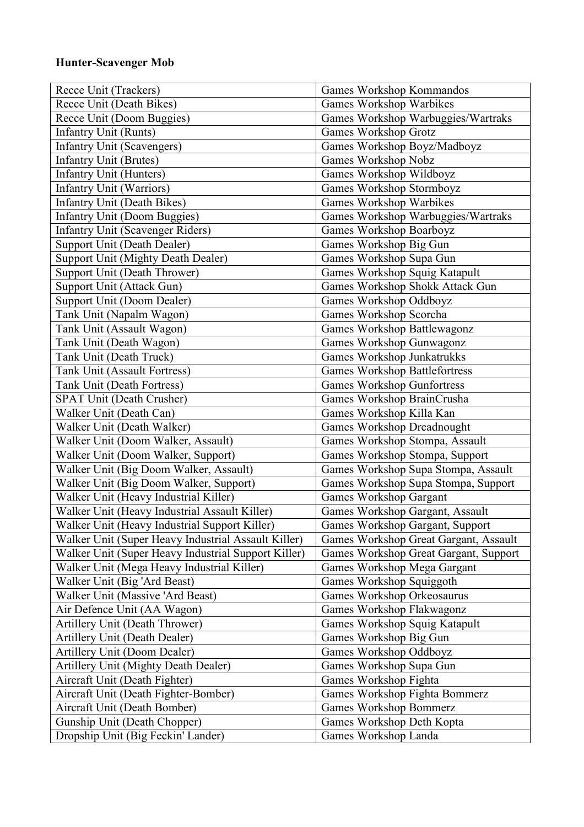#### Hunter-Scavenger Mob

| Recce Unit (Trackers)                               | Games Workshop Kommandos              |
|-----------------------------------------------------|---------------------------------------|
| Recce Unit (Death Bikes)                            | Games Workshop Warbikes               |
| Recce Unit (Doom Buggies)                           | Games Workshop Warbuggies/Wartraks    |
| Infantry Unit (Runts)                               | <b>Games Workshop Grotz</b>           |
| <b>Infantry Unit (Scavengers)</b>                   | Games Workshop Boyz/Madboyz           |
| <b>Infantry Unit (Brutes)</b>                       | Games Workshop Nobz                   |
| Infantry Unit (Hunters)                             | Games Workshop Wildboyz               |
| <b>Infantry Unit (Warriors)</b>                     | Games Workshop Stormboyz              |
| <b>Infantry Unit (Death Bikes)</b>                  | Games Workshop Warbikes               |
| <b>Infantry Unit (Doom Buggies)</b>                 | Games Workshop Warbuggies/Wartraks    |
| <b>Infantry Unit (Scavenger Riders)</b>             | Games Workshop Boarboyz               |
| Support Unit (Death Dealer)                         | Games Workshop Big Gun                |
| <b>Support Unit (Mighty Death Dealer)</b>           | Games Workshop Supa Gun               |
| Support Unit (Death Thrower)                        | Games Workshop Squig Katapult         |
| Support Unit (Attack Gun)                           | Games Workshop Shokk Attack Gun       |
| Support Unit (Doom Dealer)                          | Games Workshop Oddboyz                |
| Tank Unit (Napalm Wagon)                            | Games Workshop Scorcha                |
| Tank Unit (Assault Wagon)                           | Games Workshop Battlewagonz           |
| Tank Unit (Death Wagon)                             | Games Workshop Gunwagonz              |
| Tank Unit (Death Truck)                             | Games Workshop Junkatrukks            |
| <b>Tank Unit (Assault Fortress)</b>                 | <b>Games Workshop Battlefortress</b>  |
| Tank Unit (Death Fortress)                          | <b>Games Workshop Gunfortress</b>     |
| <b>SPAT Unit (Death Crusher)</b>                    | Games Workshop BrainCrusha            |
| Walker Unit (Death Can)                             | Games Workshop Killa Kan              |
| Walker Unit (Death Walker)                          | Games Workshop Dreadnought            |
| Walker Unit (Doom Walker, Assault)                  | Games Workshop Stompa, Assault        |
| Walker Unit (Doom Walker, Support)                  | Games Workshop Stompa, Support        |
| Walker Unit (Big Doom Walker, Assault)              | Games Workshop Supa Stompa, Assault   |
| Walker Unit (Big Doom Walker, Support)              | Games Workshop Supa Stompa, Support   |
| Walker Unit (Heavy Industrial Killer)               | Games Workshop Gargant                |
| Walker Unit (Heavy Industrial Assault Killer)       | Games Workshop Gargant, Assault       |
| Walker Unit (Heavy Industrial Support Killer)       | Games Workshop Gargant, Support       |
| Walker Unit (Super Heavy Industrial Assault Killer) | Games Workshop Great Gargant, Assault |
| Walker Unit (Super Heavy Industrial Support Killer) | Games Workshop Great Gargant, Support |
| Walker Unit (Mega Heavy Industrial Killer)          | Games Workshop Mega Gargant           |
| Walker Unit (Big 'Ard Beast)                        | Games Workshop Squiggoth              |
| Walker Unit (Massive 'Ard Beast)                    | Games Workshop Orkeosaurus            |
| Air Defence Unit (AA Wagon)                         | Games Workshop Flakwagonz             |
| Artillery Unit (Death Thrower)                      | Games Workshop Squig Katapult         |
| Artillery Unit (Death Dealer)                       | Games Workshop Big Gun                |
| Artillery Unit (Doom Dealer)                        | Games Workshop Oddboyz                |
| Artillery Unit (Mighty Death Dealer)                | Games Workshop Supa Gun               |
| Aircraft Unit (Death Fighter)                       | Games Workshop Fighta                 |
| Aircraft Unit (Death Fighter-Bomber)                | Games Workshop Fighta Bommerz         |
| Aircraft Unit (Death Bomber)                        | <b>Games Workshop Bommerz</b>         |
| Gunship Unit (Death Chopper)                        | Games Workshop Deth Kopta             |
| Dropship Unit (Big Feckin' Lander)                  | Games Workshop Landa                  |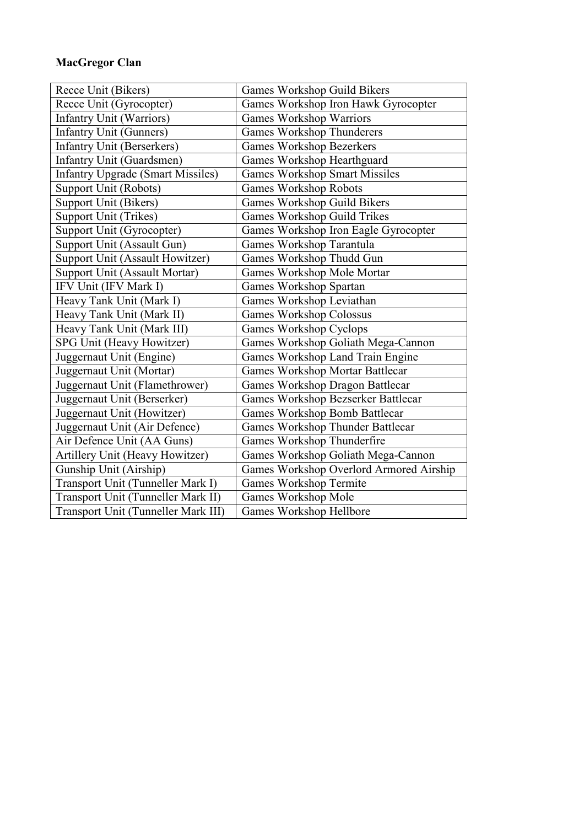#### MacGregor Clan

| Recce Unit (Bikers)                      | Games Workshop Guild Bikers             |
|------------------------------------------|-----------------------------------------|
| Recce Unit (Gyrocopter)                  | Games Workshop Iron Hawk Gyrocopter     |
| <b>Infantry Unit (Warriors)</b>          | <b>Games Workshop Warriors</b>          |
| Infantry Unit (Gunners)                  | <b>Games Workshop Thunderers</b>        |
| <b>Infantry Unit (Berserkers)</b>        | <b>Games Workshop Bezerkers</b>         |
| <b>Infantry Unit (Guardsmen)</b>         | Games Workshop Hearthguard              |
| <b>Infantry Upgrade (Smart Missiles)</b> | <b>Games Workshop Smart Missiles</b>    |
| Support Unit (Robots)                    | <b>Games Workshop Robots</b>            |
| <b>Support Unit (Bikers)</b>             | Games Workshop Guild Bikers             |
| Support Unit (Trikes)                    | <b>Games Workshop Guild Trikes</b>      |
| Support Unit (Gyrocopter)                | Games Workshop Iron Eagle Gyrocopter    |
| Support Unit (Assault Gun)               | Games Workshop Tarantula                |
| Support Unit (Assault Howitzer)          | Games Workshop Thudd Gun                |
| Support Unit (Assault Mortar)            | Games Workshop Mole Mortar              |
| IFV Unit (IFV Mark I)                    | Games Workshop Spartan                  |
| Heavy Tank Unit (Mark I)                 | Games Workshop Leviathan                |
| Heavy Tank Unit (Mark II)                | <b>Games Workshop Colossus</b>          |
| Heavy Tank Unit (Mark III)               | Games Workshop Cyclops                  |
| SPG Unit (Heavy Howitzer)                | Games Workshop Goliath Mega-Cannon      |
| Juggernaut Unit (Engine)                 | Games Workshop Land Train Engine        |
| Juggernaut Unit (Mortar)                 | <b>Games Workshop Mortar Battlecar</b>  |
| Juggernaut Unit (Flamethrower)           | Games Workshop Dragon Battlecar         |
| Juggernaut Unit (Berserker)              | Games Workshop Bezserker Battlecar      |
| Juggernaut Unit (Howitzer)               | Games Workshop Bomb Battlecar           |
| Juggernaut Unit (Air Defence)            | Games Workshop Thunder Battlecar        |
| Air Defence Unit (AA Guns)               | Games Workshop Thunderfire              |
| <b>Artillery Unit (Heavy Howitzer)</b>   | Games Workshop Goliath Mega-Cannon      |
| Gunship Unit (Airship)                   | Games Workshop Overlord Armored Airship |
| Transport Unit (Tunneller Mark I)        | Games Workshop Termite                  |
| Transport Unit (Tunneller Mark II)       | Games Workshop Mole                     |
| Transport Unit (Tunneller Mark III)      | Games Workshop Hellbore                 |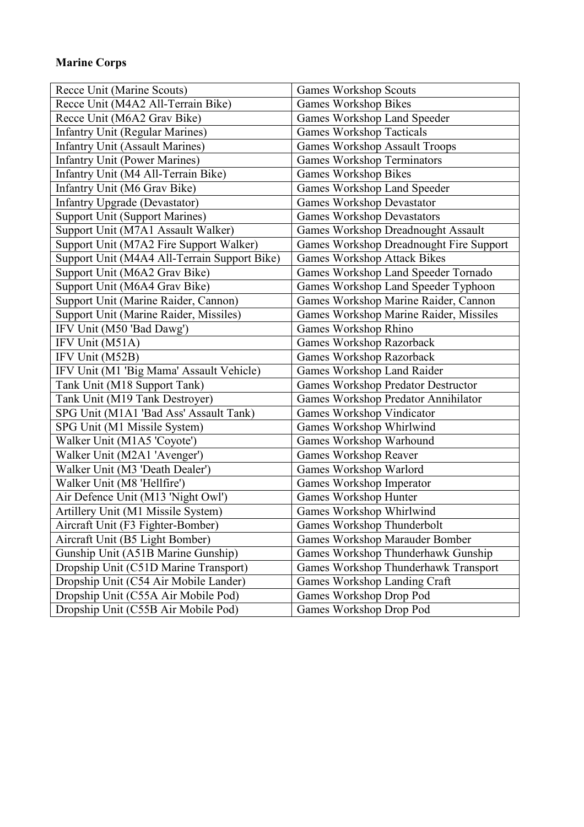#### Marine Corps

| Recce Unit (Marine Scouts)                   | <b>Games Workshop Scouts</b>              |
|----------------------------------------------|-------------------------------------------|
| Recce Unit (M4A2 All-Terrain Bike)           | <b>Games Workshop Bikes</b>               |
| Recce Unit (M6A2 Grav Bike)                  | Games Workshop Land Speeder               |
| <b>Infantry Unit (Regular Marines)</b>       | <b>Games Workshop Tacticals</b>           |
| <b>Infantry Unit (Assault Marines)</b>       | <b>Games Workshop Assault Troops</b>      |
| <b>Infantry Unit (Power Marines)</b>         | <b>Games Workshop Terminators</b>         |
| Infantry Unit (M4 All-Terrain Bike)          | <b>Games Workshop Bikes</b>               |
| Infantry Unit (M6 Grav Bike)                 | Games Workshop Land Speeder               |
| <b>Infantry Upgrade (Devastator)</b>         | <b>Games Workshop Devastator</b>          |
| <b>Support Unit (Support Marines)</b>        | <b>Games Workshop Devastators</b>         |
| Support Unit (M7A1 Assault Walker)           | Games Workshop Dreadnought Assault        |
| Support Unit (M7A2 Fire Support Walker)      | Games Workshop Dreadnought Fire Support   |
| Support Unit (M4A4 All-Terrain Support Bike) | <b>Games Workshop Attack Bikes</b>        |
| Support Unit (M6A2 Grav Bike)                | Games Workshop Land Speeder Tornado       |
| Support Unit (M6A4 Grav Bike)                | Games Workshop Land Speeder Typhoon       |
| Support Unit (Marine Raider, Cannon)         | Games Workshop Marine Raider, Cannon      |
| Support Unit (Marine Raider, Missiles)       | Games Workshop Marine Raider, Missiles    |
| IFV Unit (M50 'Bad Dawg')                    | Games Workshop Rhino                      |
| IFV Unit (M51A)                              | <b>Games Workshop Razorback</b>           |
| IFV Unit (M52B)                              | <b>Games Workshop Razorback</b>           |
| IFV Unit (M1 'Big Mama' Assault Vehicle)     | Games Workshop Land Raider                |
| Tank Unit (M18 Support Tank)                 | <b>Games Workshop Predator Destructor</b> |
| Tank Unit (M19 Tank Destroyer)               | Games Workshop Predator Annihilator       |
| SPG Unit (M1A1 'Bad Ass' Assault Tank)       | Games Workshop Vindicator                 |
| SPG Unit (M1 Missile System)                 | Games Workshop Whirlwind                  |
| Walker Unit (M1A5 'Coyote')                  | Games Workshop Warhound                   |
| Walker Unit (M2A1 'Avenger')                 | Games Workshop Reaver                     |
| Walker Unit (M3 'Death Dealer')              | Games Workshop Warlord                    |
| Walker Unit (M8 'Hellfire')                  | Games Workshop Imperator                  |
| Air Defence Unit (M13 'Night Owl')           | Games Workshop Hunter                     |
| Artillery Unit (M1 Missile System)           | Games Workshop Whirlwind                  |
| Aircraft Unit (F3 Fighter-Bomber)            | Games Workshop Thunderbolt                |
| Aircraft Unit (B5 Light Bomber)              | <b>Games Workshop Marauder Bomber</b>     |
| Gunship Unit (A51B Marine Gunship)           | Games Workshop Thunderhawk Gunship        |
| Dropship Unit (C51D Marine Transport)        | Games Workshop Thunderhawk Transport      |
| Dropship Unit (C54 Air Mobile Lander)        | Games Workshop Landing Craft              |
| Dropship Unit (C55A Air Mobile Pod)          | Games Workshop Drop Pod                   |
| Dropship Unit (C55B Air Mobile Pod)          | Games Workshop Drop Pod                   |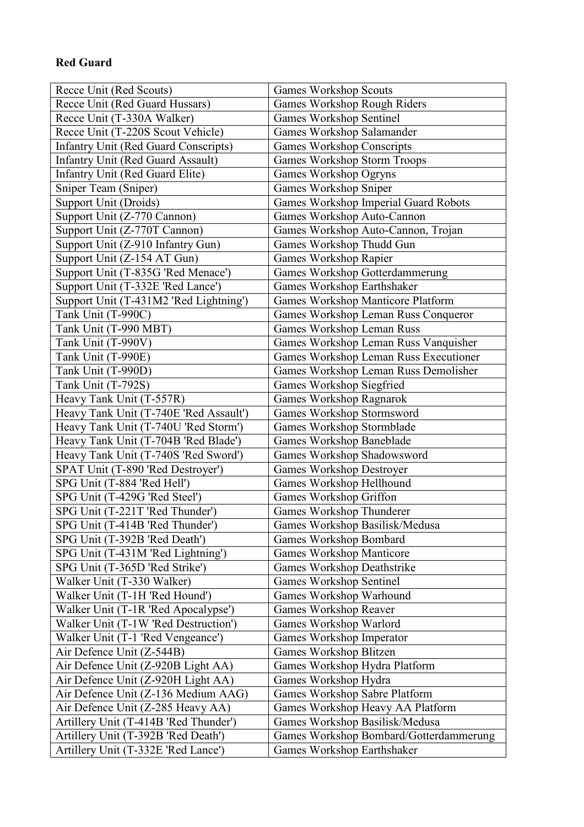#### Red Guard

| Recce Unit (Red Scouts)                     | <b>Games Workshop Scouts</b>           |
|---------------------------------------------|----------------------------------------|
| Recce Unit (Red Guard Hussars)              | Games Workshop Rough Riders            |
| Recce Unit (T-330A Walker)                  | <b>Games Workshop Sentinel</b>         |
| Recce Unit (T-220S Scout Vehicle)           | Games Workshop Salamander              |
| <b>Infantry Unit (Red Guard Conscripts)</b> | <b>Games Workshop Conscripts</b>       |
| <b>Infantry Unit (Red Guard Assault)</b>    | <b>Games Workshop Storm Troops</b>     |
| Infantry Unit (Red Guard Elite)             | Games Workshop Ogryns                  |
| Sniper Team (Sniper)                        | Games Workshop Sniper                  |
| Support Unit (Droids)                       | Games Workshop Imperial Guard Robots   |
| Support Unit (Z-770 Cannon)                 | Games Workshop Auto-Cannon             |
| Support Unit (Z-770T Cannon)                | Games Workshop Auto-Cannon, Trojan     |
| Support Unit (Z-910 Infantry Gun)           | Games Workshop Thudd Gun               |
| Support Unit (Z-154 AT Gun)                 | Games Workshop Rapier                  |
| Support Unit (T-835G 'Red Menace')          | Games Workshop Gotterdammerung         |
| Support Unit (T-332E 'Red Lance')           | Games Workshop Earthshaker             |
| Support Unit (T-431M2 'Red Lightning')      | Games Workshop Manticore Platform      |
| Tank Unit (T-990C)                          | Games Workshop Leman Russ Conqueror    |
| Tank Unit (T-990 MBT)                       | Games Workshop Leman Russ              |
| Tank Unit (T-990V)                          | Games Workshop Leman Russ Vanquisher   |
| Tank Unit (T-990E)                          | Games Workshop Leman Russ Executioner  |
| Tank Unit (T-990D)                          | Games Workshop Leman Russ Demolisher   |
| Tank Unit (T-792S)                          | Games Workshop Siegfried               |
| Heavy Tank Unit (T-557R)                    | Games Workshop Ragnarok                |
| Heavy Tank Unit (T-740E 'Red Assault')      | Games Workshop Stormsword              |
| Heavy Tank Unit (T-740U 'Red Storm')        | Games Workshop Stormblade              |
| Heavy Tank Unit (T-704B 'Red Blade')        | Games Workshop Baneblade               |
| Heavy Tank Unit (T-740S 'Red Sword')        | Games Workshop Shadowsword             |
| SPAT Unit (T-890 'Red Destroyer')           | <b>Games Workshop Destroyer</b>        |
| SPG Unit (T-884 'Red Hell')                 | Games Workshop Hellhound               |
| SPG Unit (T-429G 'Red Steel')               | Games Workshop Griffon                 |
| SPG Unit (T-221T 'Red Thunder')             | Games Workshop Thunderer               |
| SPG Unit (T-414B 'Red Thunder')             | Games Workshop Basilisk/Medusa         |
| SPG Unit (T-392B 'Red Death')               | <b>Games Workshop Bombard</b>          |
| SPG Unit (T-431M 'Red Lightning')           | <b>Games Workshop Manticore</b>        |
| SPG Unit (T-365D 'Red Strike')              | <b>Games Workshop Deathstrike</b>      |
| Walker Unit (T-330 Walker)                  | <b>Games Workshop Sentinel</b>         |
| Walker Unit (T-1H 'Red Hound')              | Games Workshop Warhound                |
| Walker Unit (T-1R 'Red Apocalypse')         | Games Workshop Reaver                  |
| Walker Unit (T-1W 'Red Destruction')        | Games Workshop Warlord                 |
| Walker Unit (T-1 'Red Vengeance')           | Games Workshop Imperator               |
| Air Defence Unit (Z-544B)                   | Games Workshop Blitzen                 |
| Air Defence Unit (Z-920B Light AA)          | Games Workshop Hydra Platform          |
| Air Defence Unit (Z-920H Light AA)          | Games Workshop Hydra                   |
| Air Defence Unit (Z-136 Medium AAG)         | Games Workshop Sabre Platform          |
| Air Defence Unit (Z-285 Heavy AA)           | Games Workshop Heavy AA Platform       |
| Artillery Unit (T-414B 'Red Thunder')       | Games Workshop Basilisk/Medusa         |
| Artillery Unit (T-392B 'Red Death')         | Games Workshop Bombard/Gotterdammerung |
| Artillery Unit (T-332E 'Red Lance')         | Games Workshop Earthshaker             |